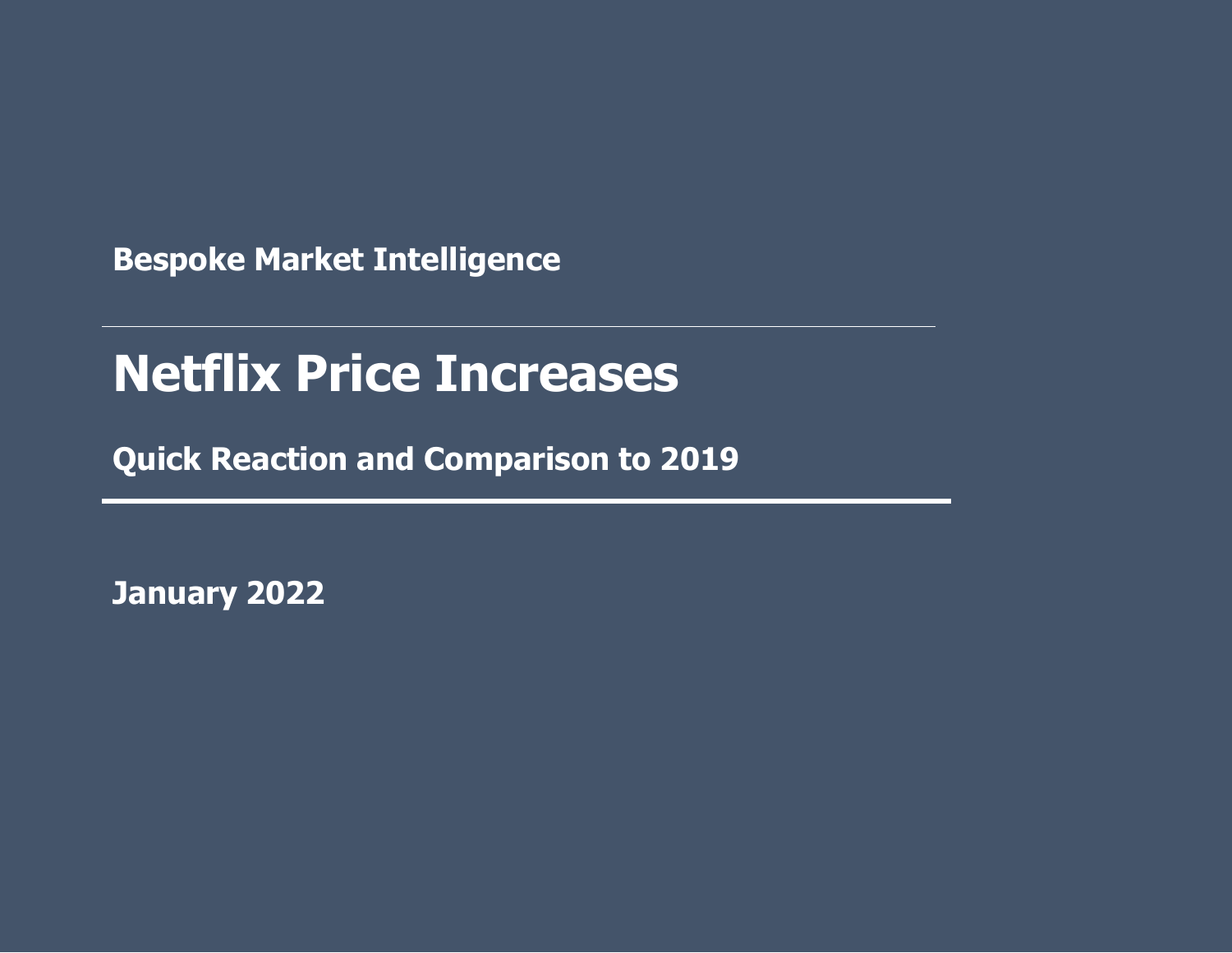**Bespoke Market Intelligence**

# **I Netflix Price Increases**

**Awareness and Market Share Quick Reaction and Comparison to 2019**

**January 2022**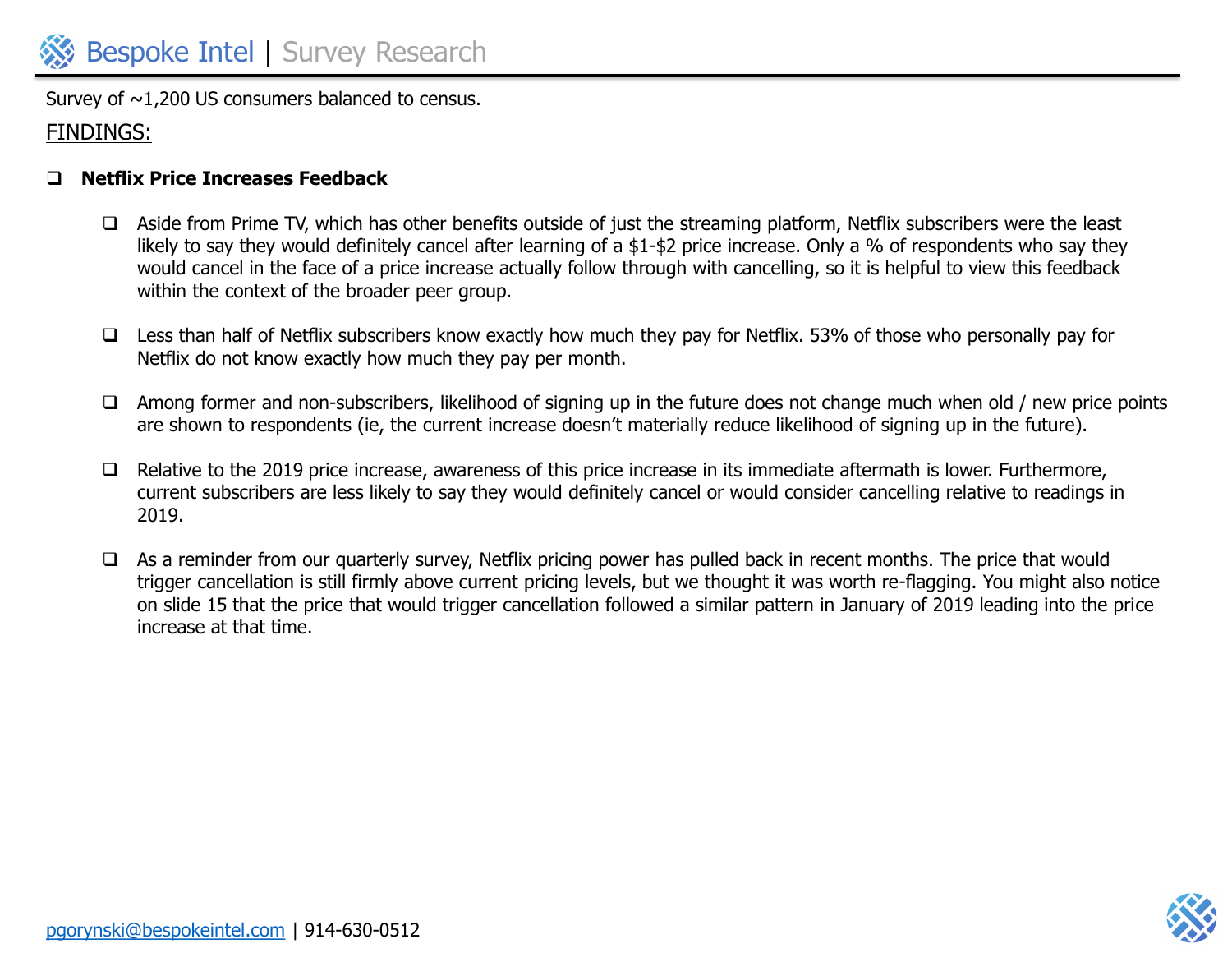Survey of  $\sim$ 1,200 US consumers balanced to census.

### FINDINGS:

#### ❑ **Netflix Price Increases Feedback**

- ❑ Aside from Prime TV, which has other benefits outside of just the streaming platform, Netflix subscribers were the least likely to say they would definitely cancel after learning of a \$1-\$2 price increase. Only a % of respondents who say they would cancel in the face of a price increase actually follow through with cancelling, so it is helpful to view this feedback within the context of the broader peer group.
- ❑ Less than half of Netflix subscribers know exactly how much they pay for Netflix. 53% of those who personally pay for Netflix do not know exactly how much they pay per month.
- ❑ Among former and non-subscribers, likelihood of signing up in the future does not change much when old / new price points are shown to respondents (ie, the current increase doesn't materially reduce likelihood of signing up in the future).
- ❑ Relative to the 2019 price increase, awareness of this price increase in its immediate aftermath is lower. Furthermore, current subscribers are less likely to say they would definitely cancel or would consider cancelling relative to readings in 2019.
- ❑ As a reminder from our quarterly survey, Netflix pricing power has pulled back in recent months. The price that would trigger cancellation is still firmly above current pricing levels, but we thought it was worth re-flagging. You might also notice on slide 15 that the price that would trigger cancellation followed a similar pattern in January of 2019 leading into the price increase at that time.

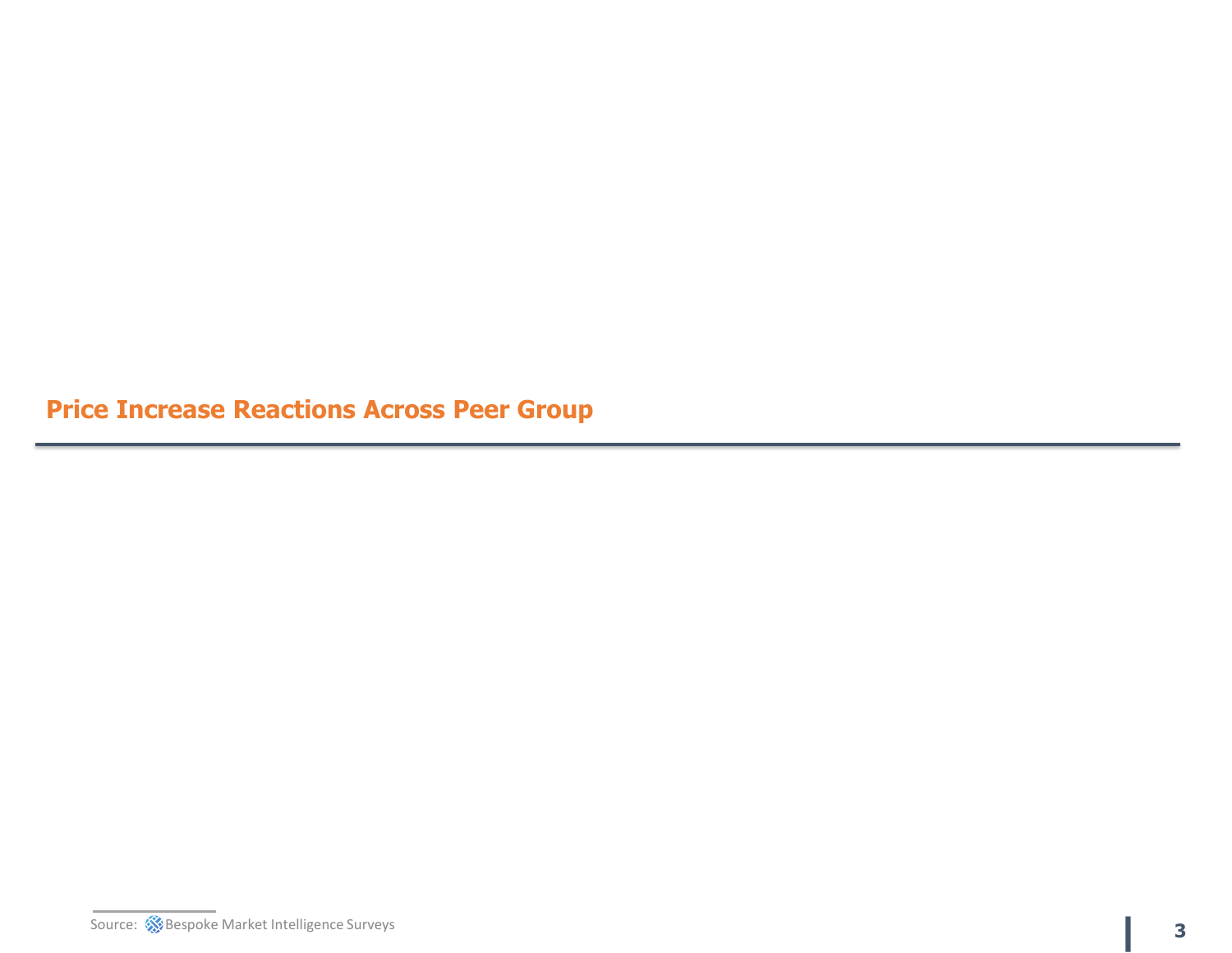**Price Increase Reactions Across Peer Group**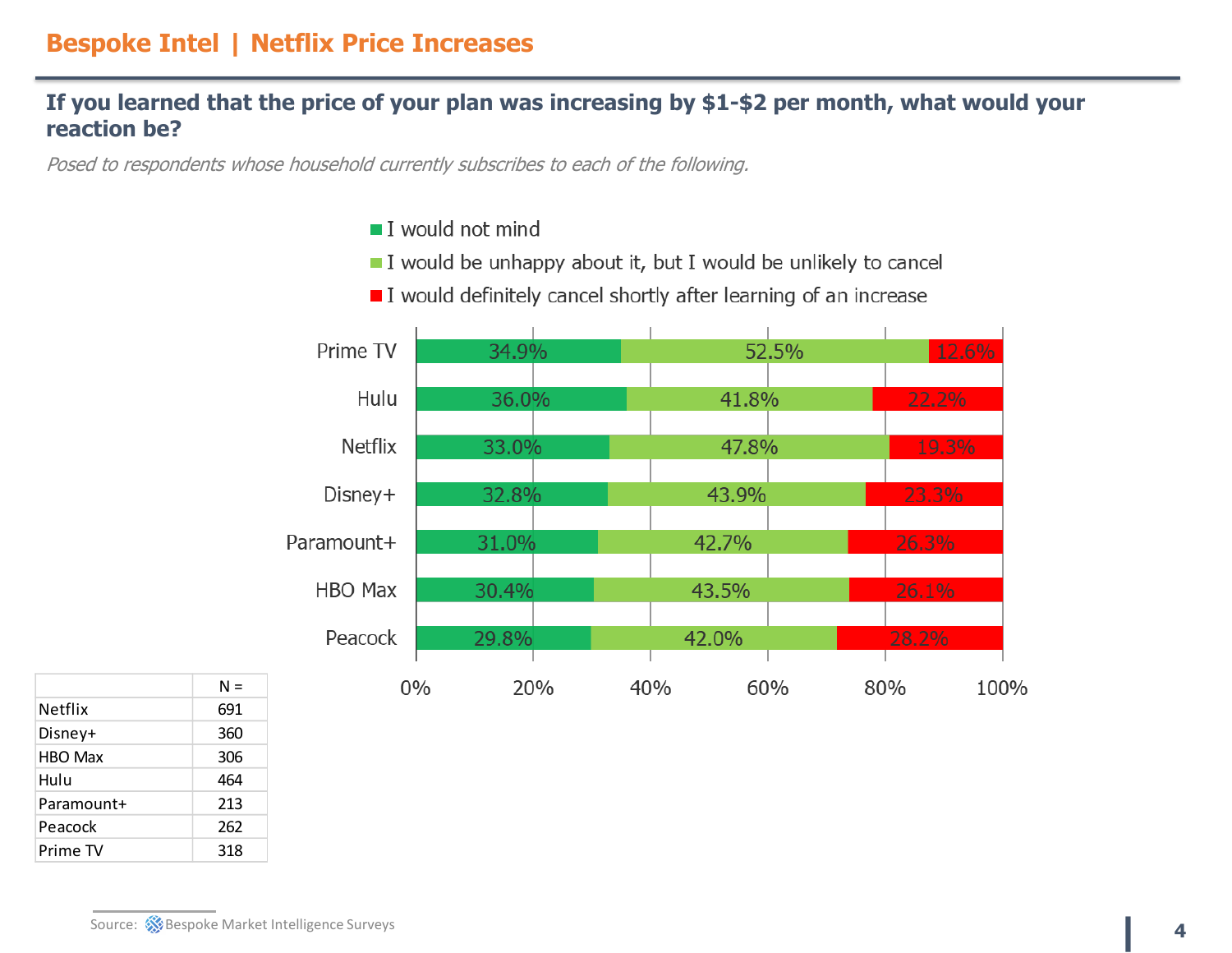#### **If you learned that the price of your plan was increasing by \$1-\$2 per month, what would your reaction be?**

Posed to respondents whose household currently subscribes to each of the following.

- $\blacksquare$  I would not mind
- I would be unhappy about it, but I would be unlikely to cancel





|                | $N =$ |
|----------------|-------|
| <b>Netflix</b> | 691   |
| Disney+        | 360   |
| <b>HBO Max</b> | 306   |
| Hulu           | 464   |
| Paramount+     | 213   |
| Peacock        | 262   |
| Prime TV       | 318   |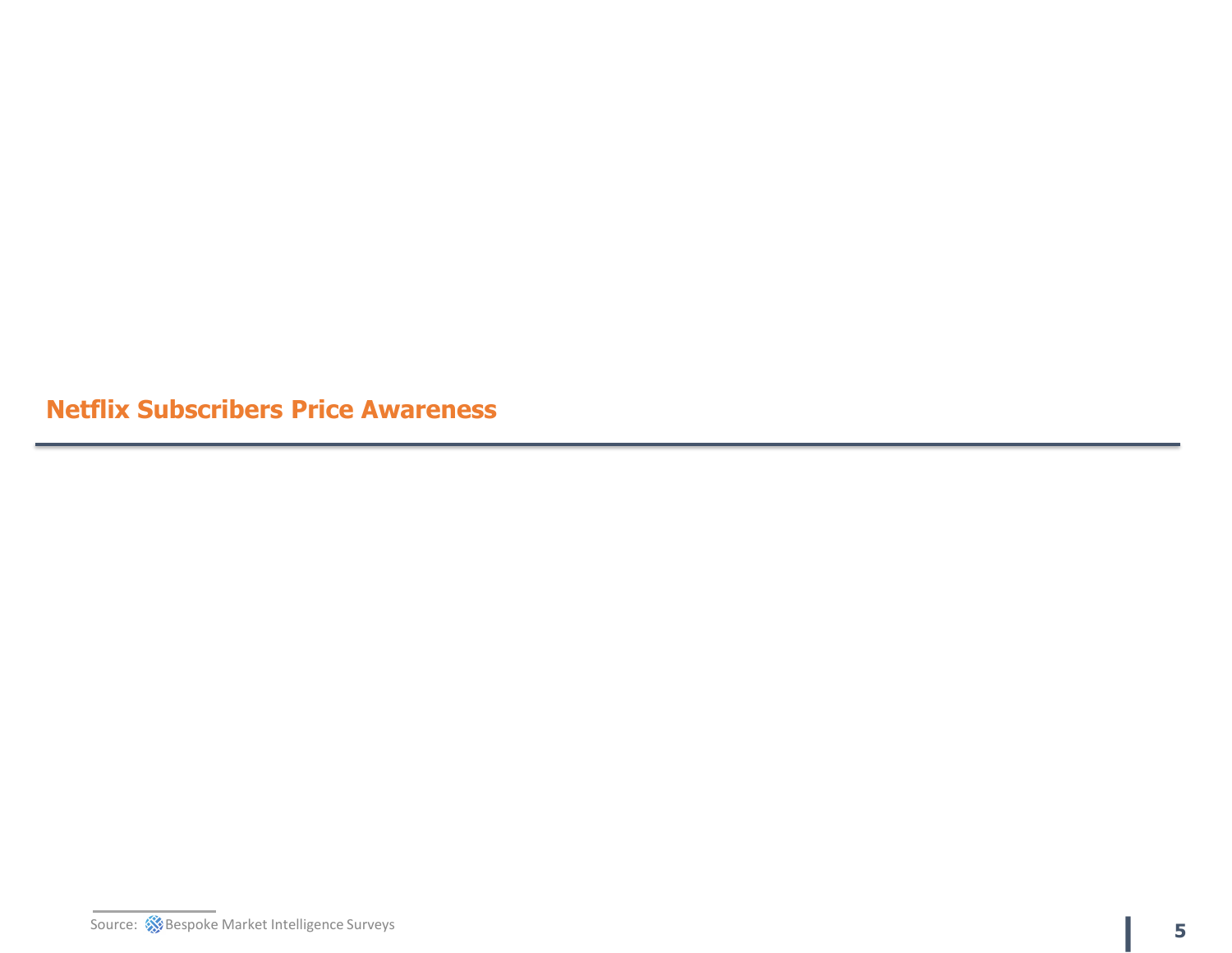**Netflix Subscribers Price Awareness**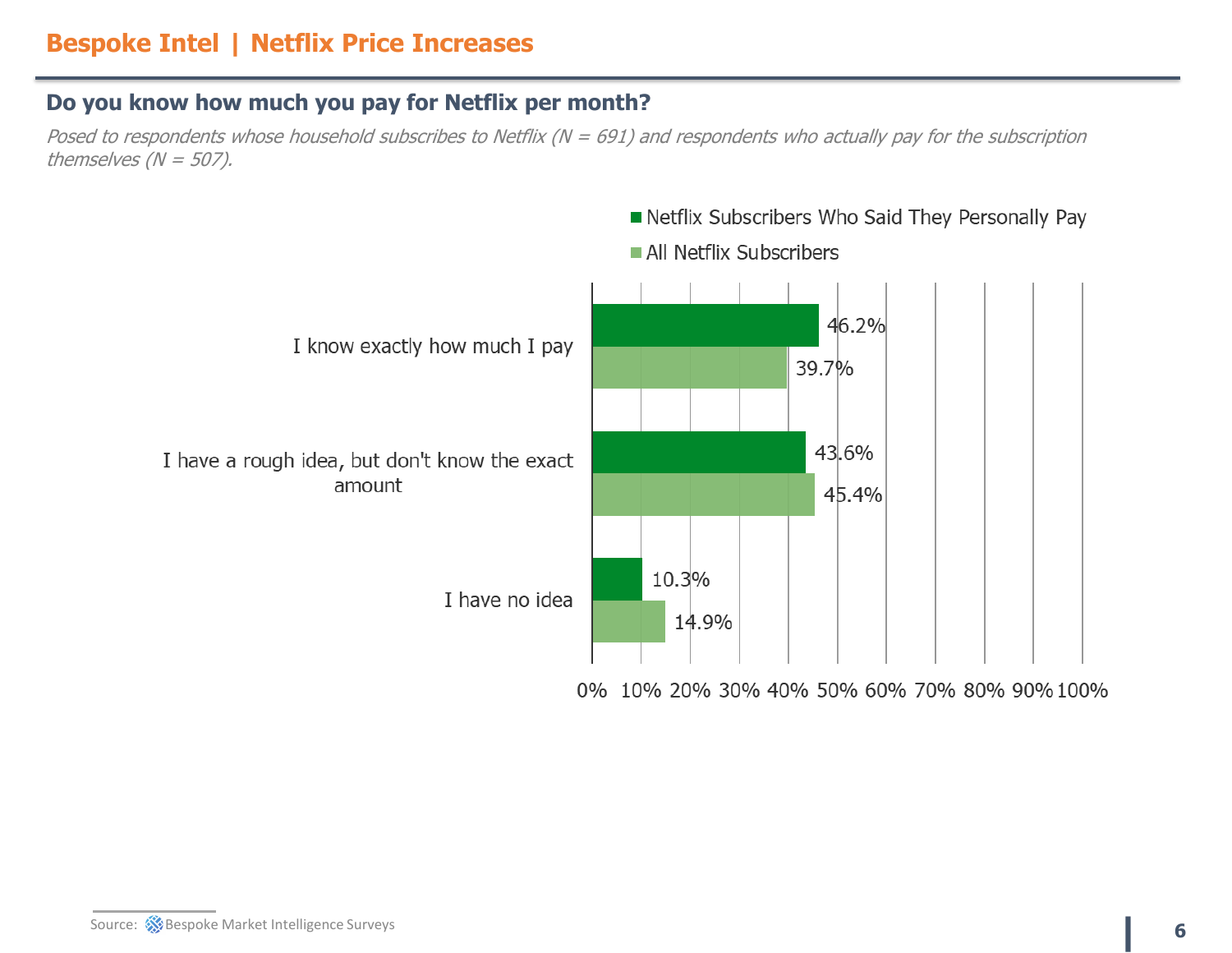### **Do you know how much you pay for Netflix per month?**

Posed to respondents whose household subscribes to Netflix ( $N = 691$ ) and respondents who actually pay for the subscription themselves ( $N = 507$ ).

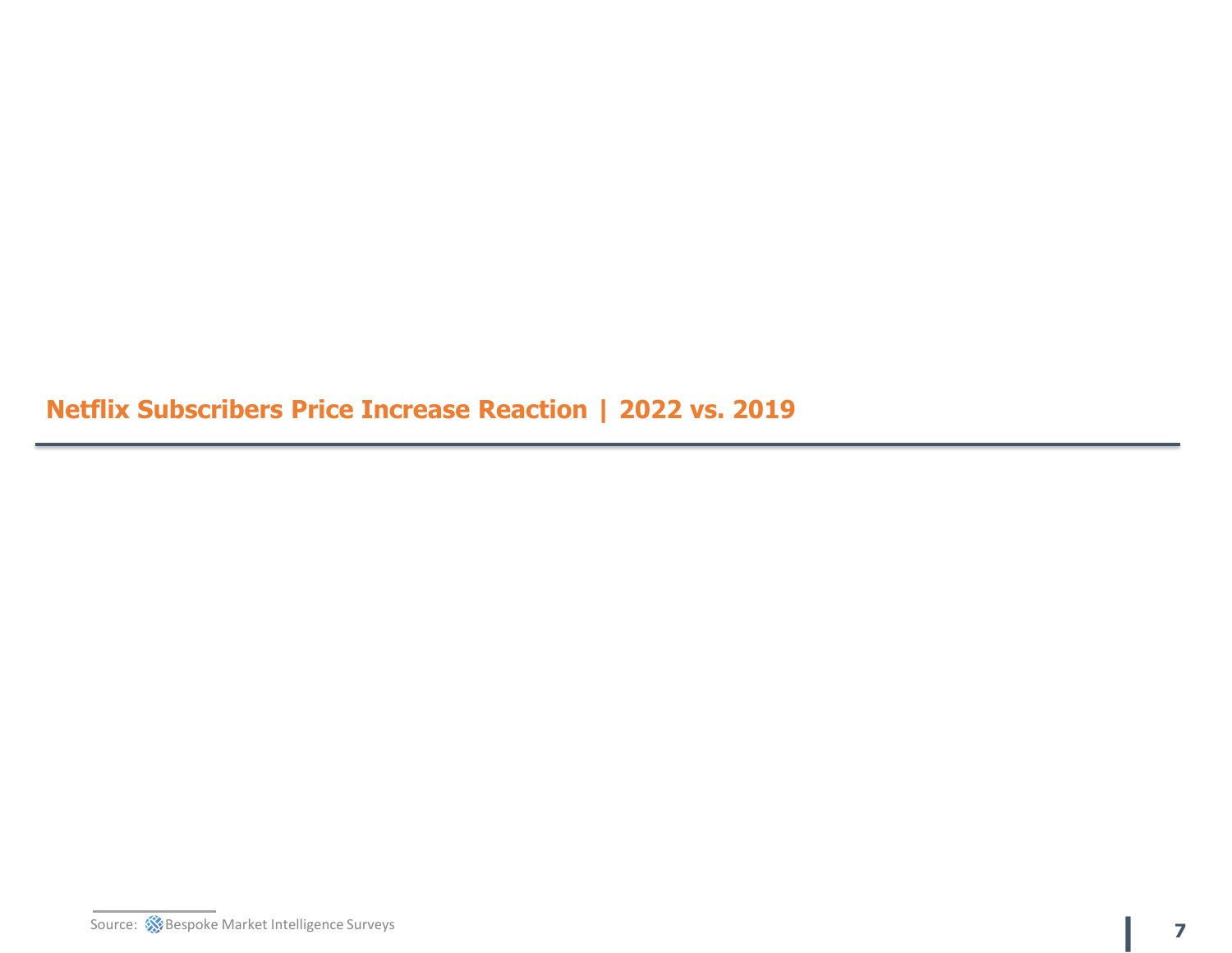**Netflix Subscribers Price Increase Reaction | 2022 vs. 2019**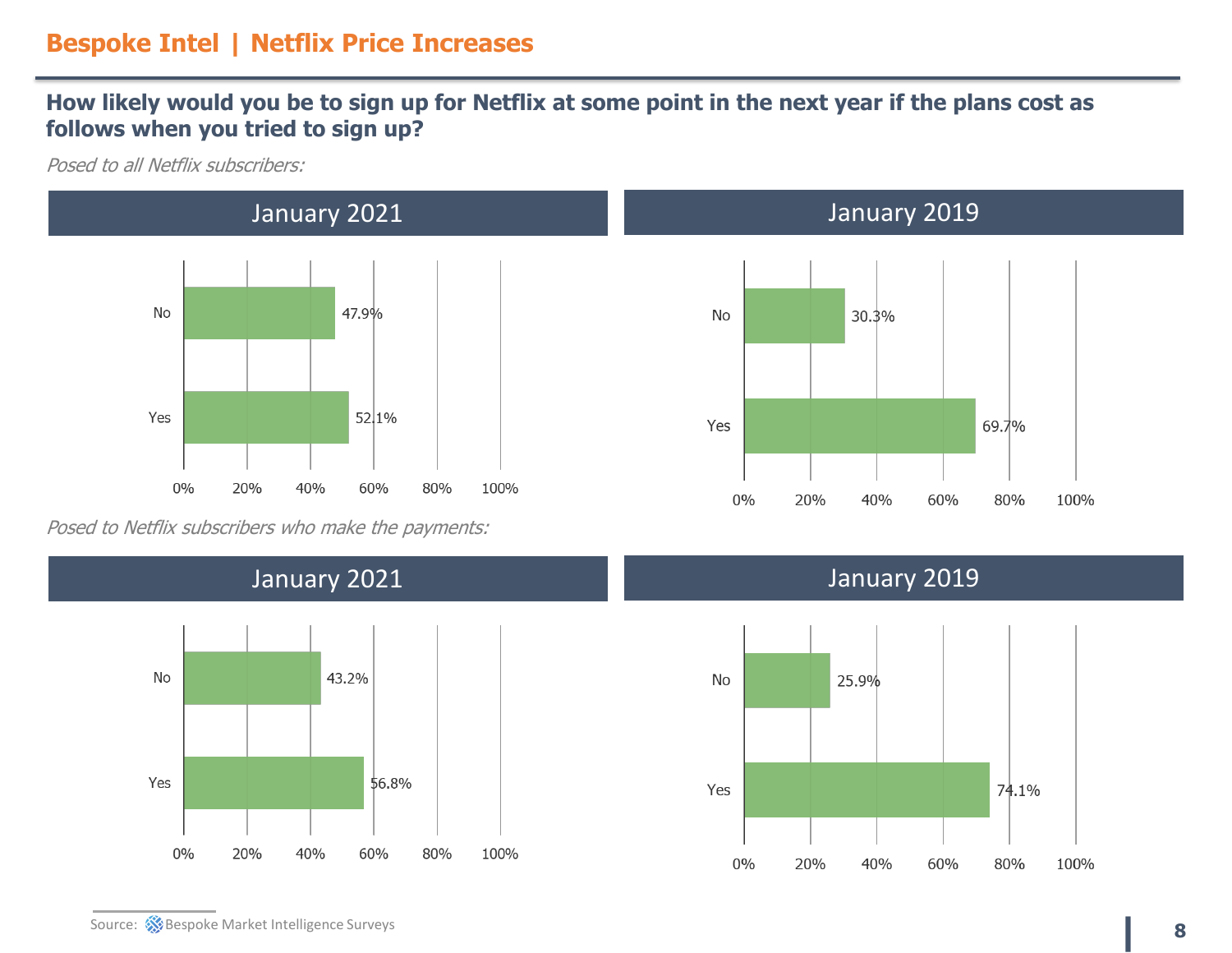#### **How likely would you be to sign up for Netflix at some point in the next year if the plans cost as follows when you tried to sign up?**

Posed to all Netflix subscribers:



Posed to Netflix subscribers who make the payments:







### January 2021 January 2019

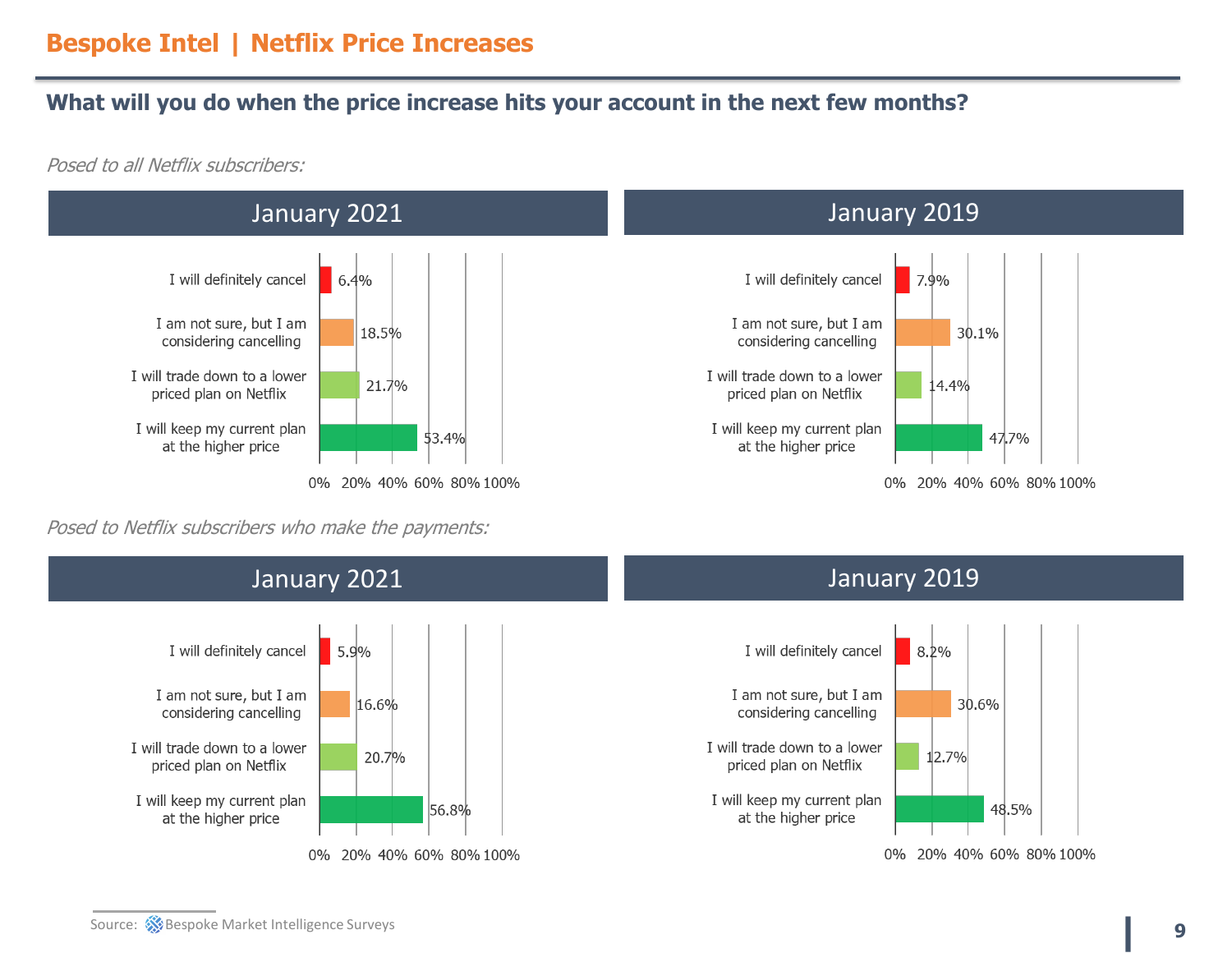#### **What will you do when the price increase hits your account in the next few months?**

Posed to all Netflix subscribers:



Posed to Netflix subscribers who make the payments:



48.5%

**| <sup>9</sup>**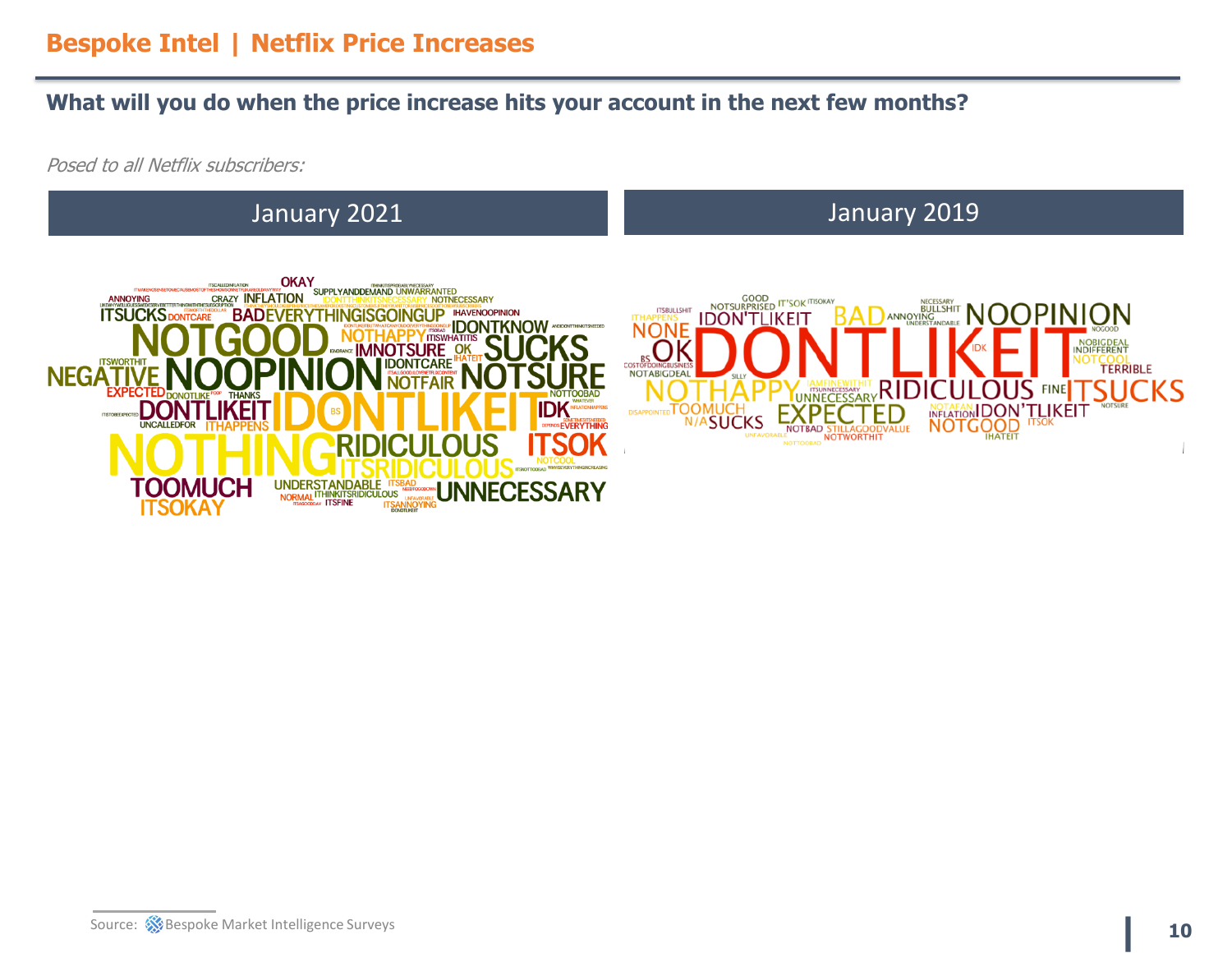#### **What will you do when the price increase hits your account in the next few months?**

Posed to all Netflix subscribers:

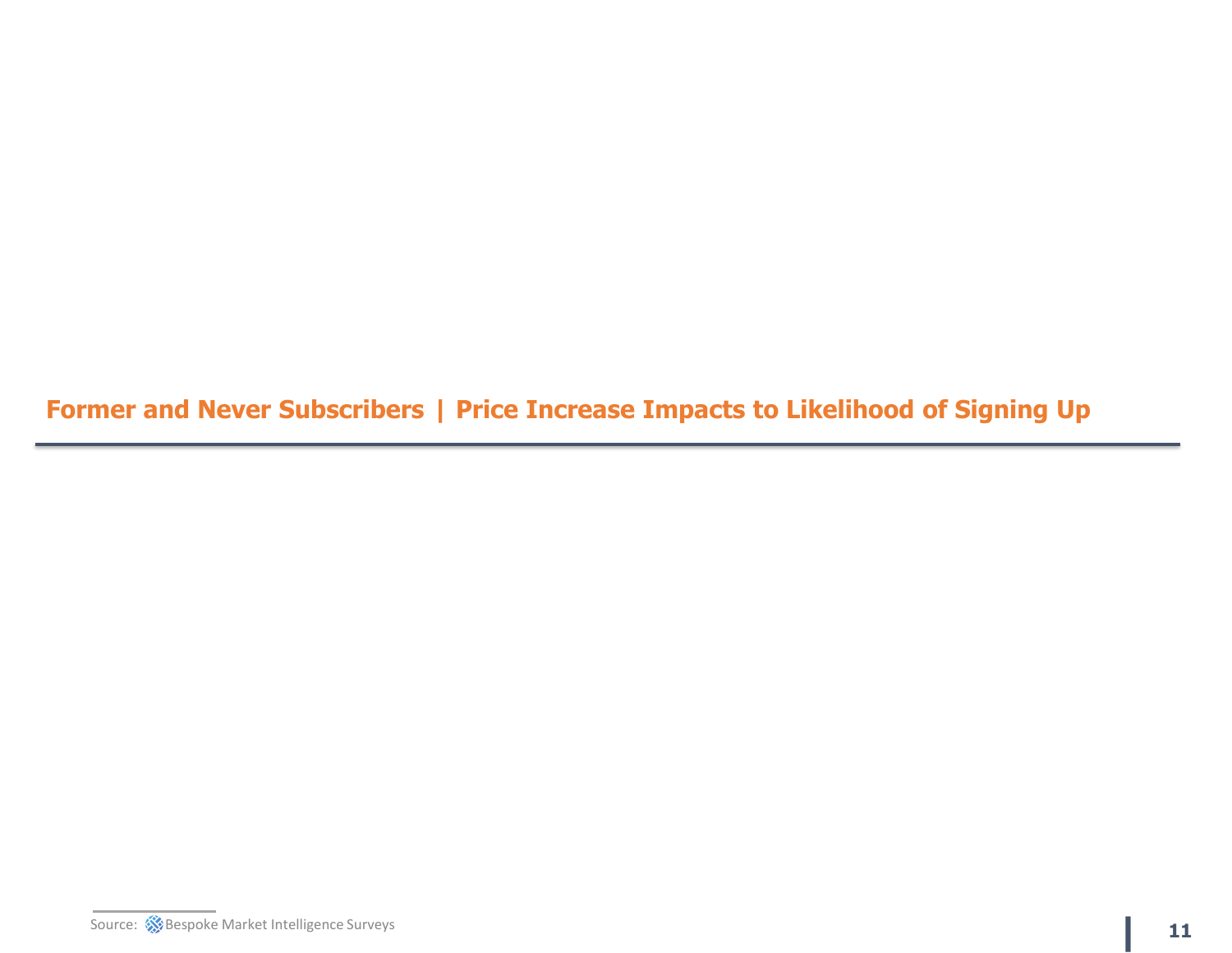**Former and Never Subscribers | Price Increase Impacts to Likelihood of Signing Up**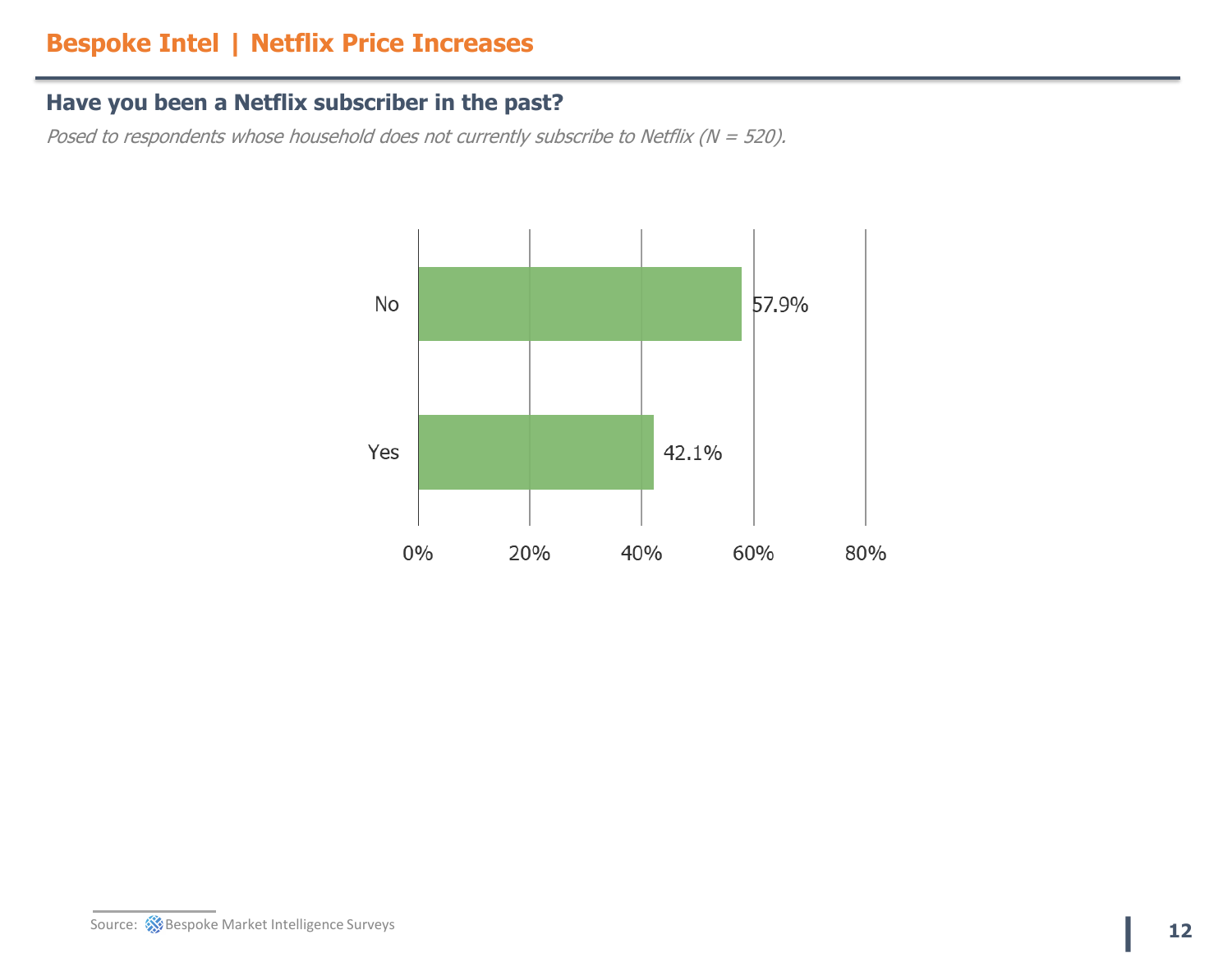### **Have you been a Netflix subscriber in the past?**

Posed to respondents whose household does not currently subscribe to Netflix ( $N = 520$ ).

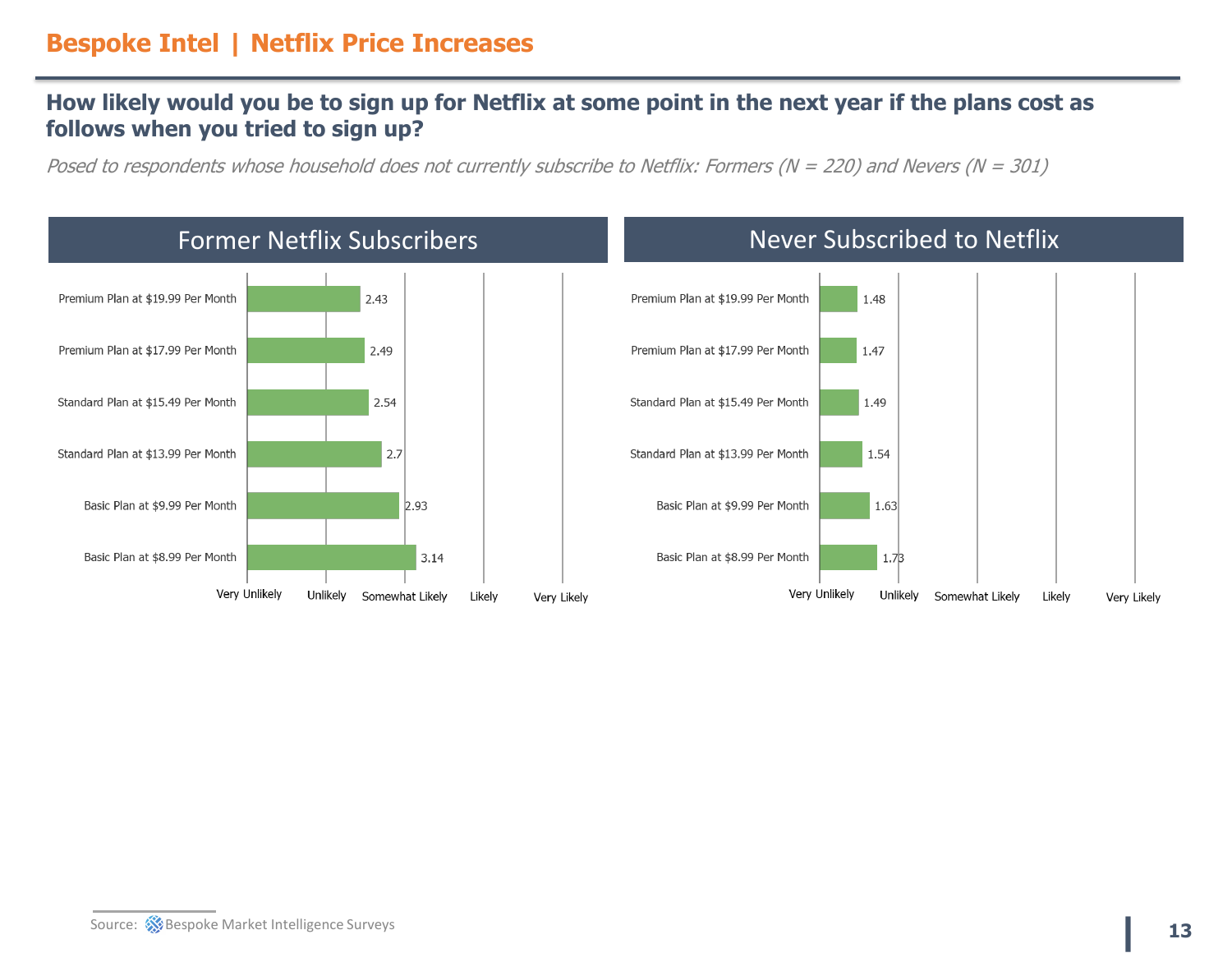#### **How likely would you be to sign up for Netflix at some point in the next year if the plans cost as follows when you tried to sign up?**

Posed to respondents whose household does not currently subscribe to Netflix: Formers (N = 220) and Nevers (N = 301)



#### **EXALUST SOURCE:** Superspoke Market Intelligence Surveys **13**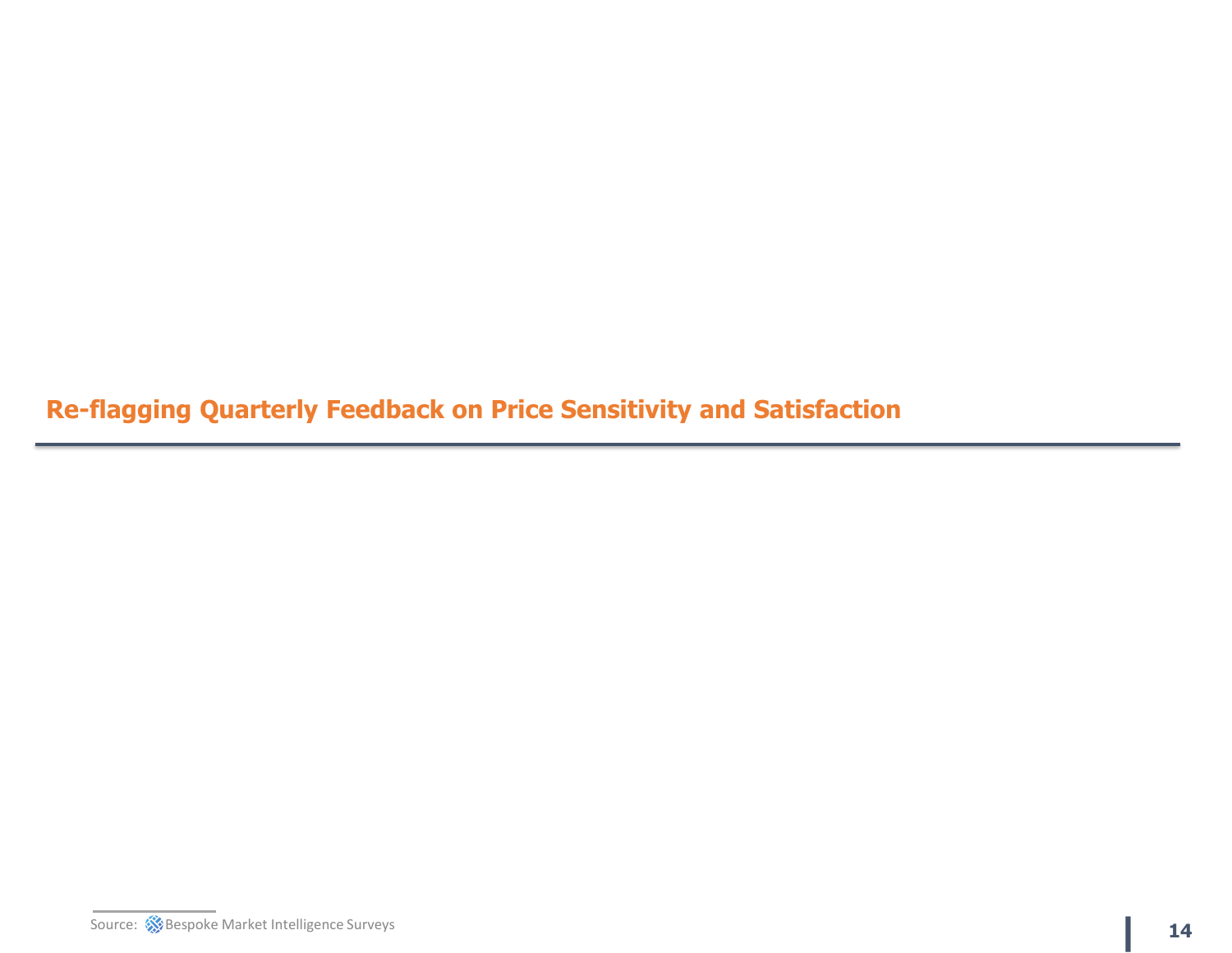**Re-flagging Quarterly Feedback on Price Sensitivity and Satisfaction**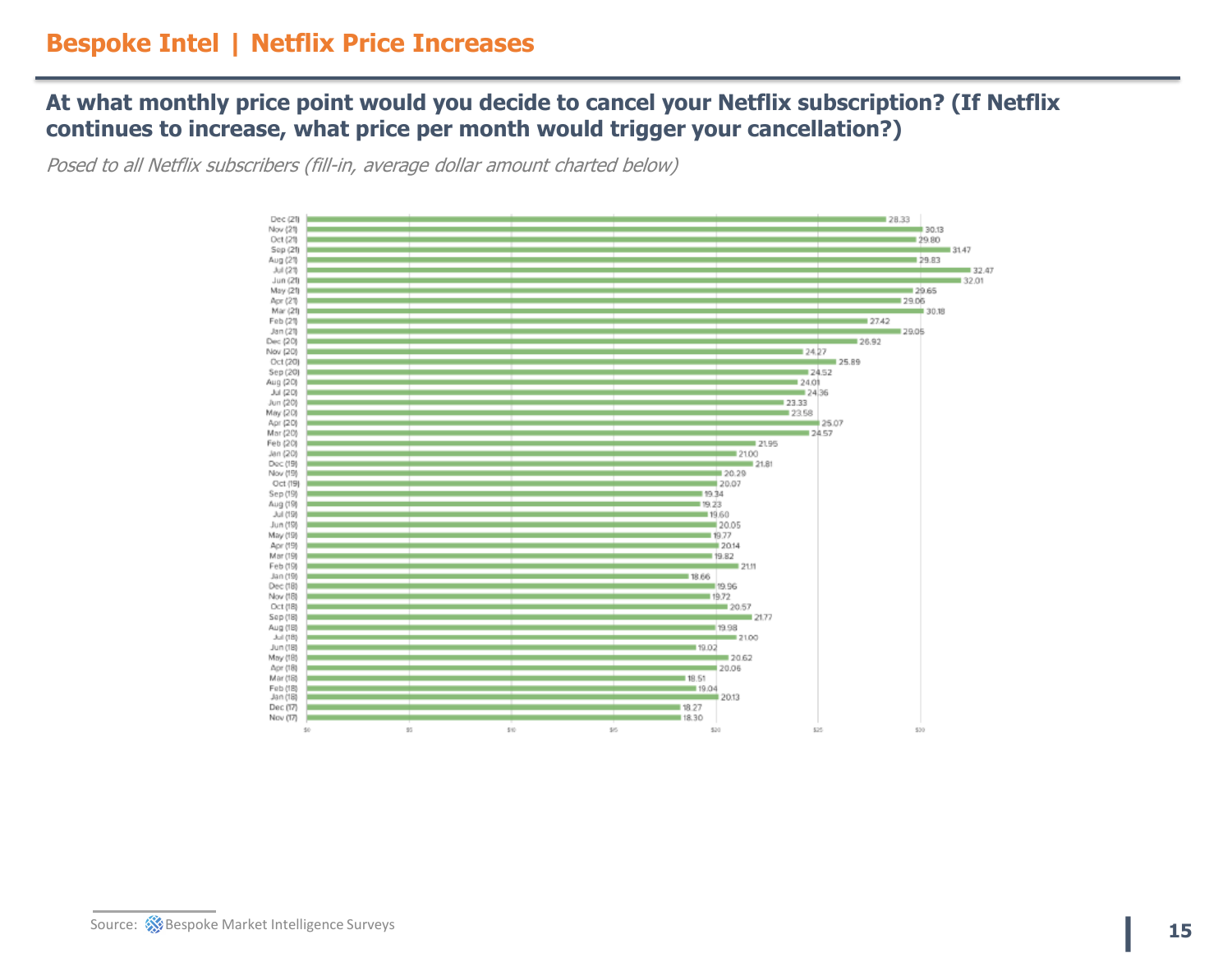#### **At what monthly price point would you decide to cancel your Netflix subscription? (If Netflix continues to increase, what price per month would trigger your cancellation?)**

Posed to all Netflix subscribers (fill-in, average dollar amount charted below)